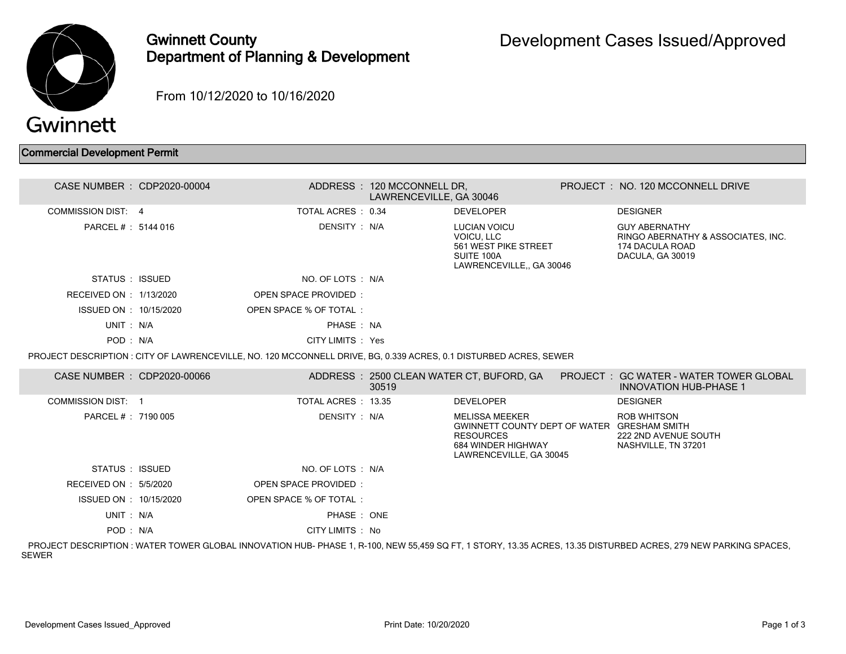

## Gwinnett County Department of Planning & Development

From 10/12/2020 to 10/16/2020

## Commercial Development Permit

| CASE NUMBER : CDP2020-00004 |                                                                                                                  | ADDRESS: 120 MCCONNELL DR,<br>LAWRENCEVILLE, GA 30046 |                                                                                                                                           | PROJECT: NO. 120 MCCONNELL DRIVE                                                                                                                               |
|-----------------------------|------------------------------------------------------------------------------------------------------------------|-------------------------------------------------------|-------------------------------------------------------------------------------------------------------------------------------------------|----------------------------------------------------------------------------------------------------------------------------------------------------------------|
| <b>COMMISSION DIST: 4</b>   | TOTAL ACRES : 0.34                                                                                               |                                                       | <b>DEVELOPER</b>                                                                                                                          | <b>DESIGNER</b>                                                                                                                                                |
| PARCEL # : 5144 016         | DENSITY : N/A                                                                                                    |                                                       | <b>LUCIAN VOICU</b><br>VOICU, LLC<br>561 WEST PIKE STREET<br>SUITE 100A<br>LAWRENCEVILLE., GA 30046                                       | <b>GUY ABERNATHY</b><br>RINGO ABERNATHY & ASSOCIATES, INC.<br>174 DACULA ROAD<br>DACULA, GA 30019                                                              |
| STATUS : ISSUED             | NO. OF LOTS : N/A                                                                                                |                                                       |                                                                                                                                           |                                                                                                                                                                |
| RECEIVED ON : 1/13/2020     | OPEN SPACE PROVIDED:                                                                                             |                                                       |                                                                                                                                           |                                                                                                                                                                |
| ISSUED ON : 10/15/2020      | OPEN SPACE % OF TOTAL:                                                                                           |                                                       |                                                                                                                                           |                                                                                                                                                                |
| UNIT: N/A                   | PHASE: NA                                                                                                        |                                                       |                                                                                                                                           |                                                                                                                                                                |
| POD: N/A                    | CITY LIMITS : Yes                                                                                                |                                                       |                                                                                                                                           |                                                                                                                                                                |
|                             | PROJECT DESCRIPTION: CITY OF LAWRENCEVILLE, NO. 120 MCCONNELL DRIVE, BG, 0.339 ACRES, 0.1 DISTURBED ACRES, SEWER |                                                       |                                                                                                                                           |                                                                                                                                                                |
| CASE NUMBER : CDP2020-00066 |                                                                                                                  | 30519                                                 | ADDRESS : 2500 CLEAN WATER CT, BUFORD, GA                                                                                                 | PROJECT: GC WATER - WATER TOWER GLOBAL<br><b>INNOVATION HUB-PHASE 1</b>                                                                                        |
| <b>COMMISSION DIST: 1</b>   | TOTAL ACRES: 13.35                                                                                               |                                                       | <b>DEVELOPER</b>                                                                                                                          | <b>DESIGNER</b>                                                                                                                                                |
| PARCEL #: 7190 005          | DENSITY : N/A                                                                                                    |                                                       | <b>MELISSA MEEKER</b><br>GWINNETT COUNTY DEPT OF WATER GRESHAM SMITH<br><b>RESOURCES</b><br>684 WINDER HIGHWAY<br>LAWRENCEVILLE, GA 30045 | <b>ROB WHITSON</b><br>222 2ND AVENUE SOUTH<br>NASHVILLE, TN 37201                                                                                              |
| STATUS : ISSUED             | NO. OF LOTS : N/A                                                                                                |                                                       |                                                                                                                                           |                                                                                                                                                                |
| RECEIVED ON : 5/5/2020      | OPEN SPACE PROVIDED:                                                                                             |                                                       |                                                                                                                                           |                                                                                                                                                                |
| ISSUED ON : 10/15/2020      | OPEN SPACE % OF TOTAL:                                                                                           |                                                       |                                                                                                                                           |                                                                                                                                                                |
| UNIT: N/A                   | PHASE : ONE                                                                                                      |                                                       |                                                                                                                                           |                                                                                                                                                                |
| POD: N/A                    | CITY LIMITS : No                                                                                                 |                                                       |                                                                                                                                           |                                                                                                                                                                |
|                             |                                                                                                                  |                                                       |                                                                                                                                           | PROJECT DESCRIPTION: WATER TOWER GLOBAL INNOVATION HUB- PHASE 1, R-100, NEW 55.459 SQ FT, 1 STORY, 13.35 ACRES, 13.35 DISTURBED ACRES, 279 NEW PARKING SPACES, |

SEWER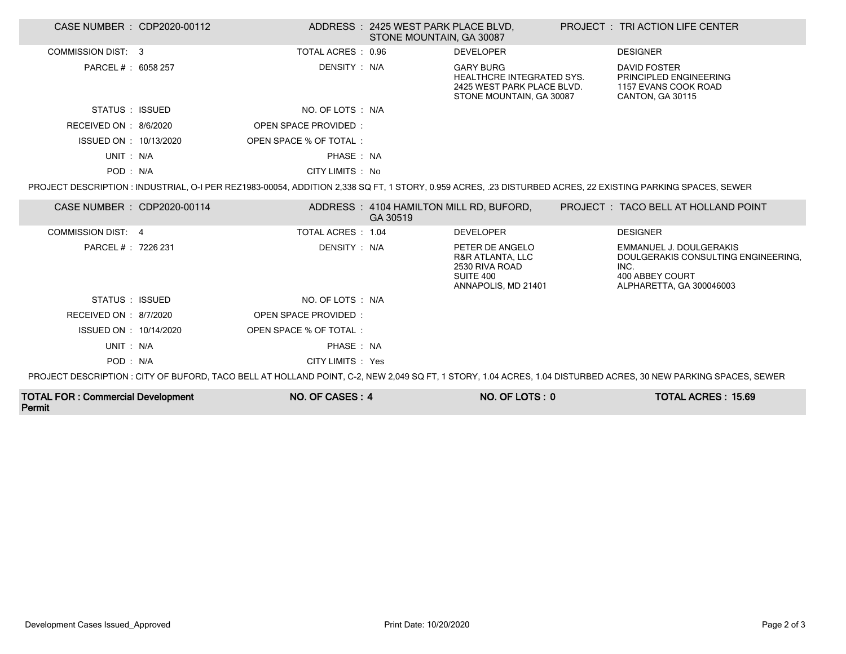| CASE NUMBER : CDP2020-00112 |                        | ADDRESS: 2425 WEST PARK PLACE BLVD,<br>STONE MOUNTAIN, GA 30087 |                                                                                                                | <b>PROJECT : TRI ACTION LIFE CENTER</b>                                                                                                                         |
|-----------------------------|------------------------|-----------------------------------------------------------------|----------------------------------------------------------------------------------------------------------------|-----------------------------------------------------------------------------------------------------------------------------------------------------------------|
| COMMISSION DIST: 3          | TOTAL ACRES: 0.96      |                                                                 | <b>DEVELOPER</b>                                                                                               | <b>DESIGNER</b>                                                                                                                                                 |
| PARCEL # : 6058 257         | DENSITY : N/A          |                                                                 | <b>GARY BURG</b><br><b>HEALTHCRE INTEGRATED SYS.</b><br>2425 WEST PARK PLACE BLVD.<br>STONE MOUNTAIN, GA 30087 | <b>DAVID FOSTER</b><br>PRINCIPLED ENGINEERING<br>1157 EVANS COOK ROAD<br>CANTON, GA 30115                                                                       |
| STATUS : ISSUED             | NO. OF LOTS : N/A      |                                                                 |                                                                                                                |                                                                                                                                                                 |
| RECEIVED ON : 8/6/2020      | OPEN SPACE PROVIDED:   |                                                                 |                                                                                                                |                                                                                                                                                                 |
| ISSUED ON : 10/13/2020      | OPEN SPACE % OF TOTAL: |                                                                 |                                                                                                                |                                                                                                                                                                 |
| UNIT: N/A                   | PHASE: NA              |                                                                 |                                                                                                                |                                                                                                                                                                 |
| POD: N/A                    | CITY LIMITS : No       |                                                                 |                                                                                                                |                                                                                                                                                                 |
|                             |                        |                                                                 |                                                                                                                | PROJECT DESCRIPTION : INDUSTRIAL, O-I PER REZ1983-00054, ADDITION 2,338 SQ FT, 1 STORY, 0.959 ACRES, .23 DISTURBED ACRES, 22 EXISTING PARKING SPACES, SEWER     |
| CASE NUMBER : CDP2020-00114 |                        | GA 30519                                                        | ADDRESS: 4104 HAMILTON MILL RD, BUFORD,                                                                        | PROJECT: TACO BELL AT HOLLAND POINT                                                                                                                             |
| <b>COMMISSION DIST: 4</b>   | TOTAL ACRES : 1.04     |                                                                 | <b>DEVELOPER</b>                                                                                               | <b>DESIGNER</b>                                                                                                                                                 |
| PARCEL # : 7226 231         | DENSITY : N/A          |                                                                 | PETER DE ANGELO<br>R&R ATLANTA, LLC<br>2530 RIVA ROAD<br>SUITE 400<br>ANNAPOLIS, MD 21401                      | EMMANUEL J. DOULGERAKIS<br>DOULGERAKIS CONSULTING ENGINEERING,<br>INC.<br>400 ABBEY COURT<br>ALPHARETTA, GA 300046003                                           |
| STATUS : ISSUED             | NO. OF LOTS : N/A      |                                                                 |                                                                                                                |                                                                                                                                                                 |
| RECEIVED ON : 8/7/2020      | OPEN SPACE PROVIDED:   |                                                                 |                                                                                                                |                                                                                                                                                                 |
| ISSUED ON : 10/14/2020      | OPEN SPACE % OF TOTAL: |                                                                 |                                                                                                                |                                                                                                                                                                 |
| UNIT: N/A                   | PHASE: NA              |                                                                 |                                                                                                                |                                                                                                                                                                 |
| POD: N/A                    | CITY LIMITS : Yes      |                                                                 |                                                                                                                |                                                                                                                                                                 |
|                             |                        |                                                                 |                                                                                                                | PROJECT DESCRIPTION : CITY OF BUFORD, TACO BELL AT HOLLAND POINT, C-2, NEW 2,049 SQ FT, 1 STORY, 1.04 ACRES, 1.04 DISTURBED ACRES, 30 NEW PARKING SPACES, SEWER |

| <b>TOTAL FOR: Commercial Development</b> | NO. OF CASES: 4 | NO. OF LOTS: 0 | <b>TOTAL ACRES: 15.69</b> |
|------------------------------------------|-----------------|----------------|---------------------------|
| Permit                                   |                 |                |                           |